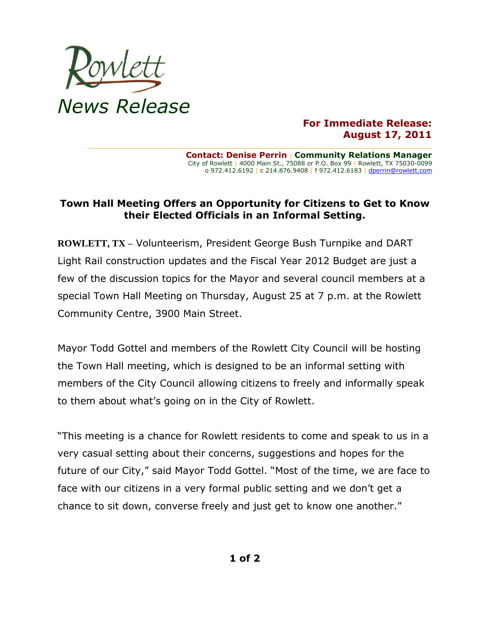

## **For Immediate Release: August 17, 2011**

**Contact: Denise Perrin** | **Community Relations Manager** City of Rowlett | 4000 Main St., 75088 or P.O. Box 99 | Rowlett, TX 75030-0099 o 972.412.6192 | c 214.876.9408 | f 972.412.6183 [| dperrin@rowlett.com](mailto:dperrin@rowlett.com)

## **Town Hall Meeting Offers an Opportunity for Citizens to Get to Know their Elected Officials in an Informal Setting.**

**\_\_\_\_\_\_\_\_\_\_\_\_\_\_\_\_\_\_\_\_\_\_\_\_\_\_\_\_\_\_\_\_\_\_\_\_\_\_\_\_\_\_\_\_\_\_\_\_\_\_\_\_\_\_\_\_\_\_\_\_\_\_\_\_\_\_\_\_\_\_\_\_\_\_\_\_\_\_\_\_\_\_\_\_\_\_**

**ROWLETT, TX –** Volunteerism, President George Bush Turnpike and DART Light Rail construction updates and the Fiscal Year 2012 Budget are just a few of the discussion topics for the Mayor and several council members at a special Town Hall Meeting on Thursday, August 25 at 7 p.m. at the Rowlett Community Centre, 3900 Main Street.

Mayor Todd Gottel and members of the Rowlett City Council will be hosting the Town Hall meeting, which is designed to be an informal setting with members of the City Council allowing citizens to freely and informally speak to them about what's going on in the City of Rowlett.

"This meeting is a chance for Rowlett residents to come and speak to us in a very casual setting about their concerns, suggestions and hopes for the future of our City," said Mayor Todd Gottel. "Most of the time, we are face to face with our citizens in a very formal public setting and we don't get a chance to sit down, converse freely and just get to know one another."